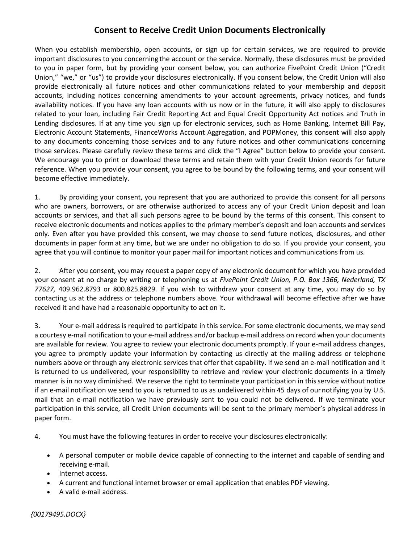## **Consent to Receive Credit Union Documents Electronically**

When you establish membership, open accounts, or sign up for certain services, we are required to provide important disclosures to you concerning the account or the service. Normally, these disclosures must be provided to you in paper form, but by providing your consent below, you can authorize FivePoint Credit Union ("Credit Union," "we," or "us") to provide your disclosures electronically. If you consent below, the Credit Union will also provide electronically all future notices and other communications related to your membership and deposit accounts, including notices concerning amendments to your account agreements, privacy notices, and funds availability notices. If you have any loan accounts with us now or in the future, it will also apply to disclosures related to your loan, including Fair Credit Reporting Act and Equal Credit Opportunity Act notices and Truth in Lending disclosures. If at any time you sign up for electronic services, such as Home Banking, Internet Bill Pay, Electronic Account Statements, FinanceWorks Account Aggregation, and POPMoney, this consent will also apply to any documents concerning those services and to any future notices and other communications concerning those services. Please carefully review these terms and click the "I Agree" button below to provide your consent. We encourage you to print or download these terms and retain them with your Credit Union records for future reference. When you provide your consent, you agree to be bound by the following terms, and your consent will become effective immediately.

1. By providing your consent, you represent that you are authorized to provide this consent for all persons who are owners, borrowers, or are otherwise authorized to access any of your Credit Union deposit and loan accounts or services, and that all such persons agree to be bound by the terms of this consent. This consent to receive electronic documents and notices applies to the primary member's deposit and loan accounts and services only. Even after you have provided this consent, we may choose to send future notices, disclosures, and other documents in paper form at any time, but we are under no obligation to do so. If you provide your consent, you agree that you will continue to monitor your paper mail for important notices and communications from us.

2. After you consent, you may request a paper copy of any electronic document for which you have provided your consent at no charge by writing or telephoning us at *FivePoint Credit Union, P.O. Box 1366, Nederland, TX 77627,* 409.962.8793 or 800.825.8829. If you wish to withdraw your consent at any time, you may do so by contacting us at the address or telephone numbers above. Your withdrawal will become effective after we have received it and have had a reasonable opportunity to act on it.

3. Your e-mail address is required to participate in this service. For some electronic documents, we may send a courtesy e-mail notification to your e-mail address and/or backup e-mail address on record when your documents are available for review. You agree to review your electronic documents promptly. If your e-mail address changes, you agree to promptly update your information by contacting us directly at the mailing address or telephone numbers above or through any electronic services that offer that capability. If we send an e-mail notification and it is returned to us undelivered, your responsibility to retrieve and review your electronic documents in a timely manner is in no way diminished. We reserve the right to terminate your participation in thisservice without notice if an e-mail notification we send to you is returned to us as undelivered within 45 days of our notifying you by U.S. mail that an e-mail notification we have previously sent to you could not be delivered. If we terminate your participation in this service, all Credit Union documents will be sent to the primary member's physical address in paper form.

- 4. You must have the following features in order to receive your disclosures electronically:
	- A personal computer or mobile device capable of connecting to the internet and capable of sending and receiving e-mail.
	- Internet access.
	- A current and functional internet browser or email application that enables PDF viewing.
	- A valid e-mail address.